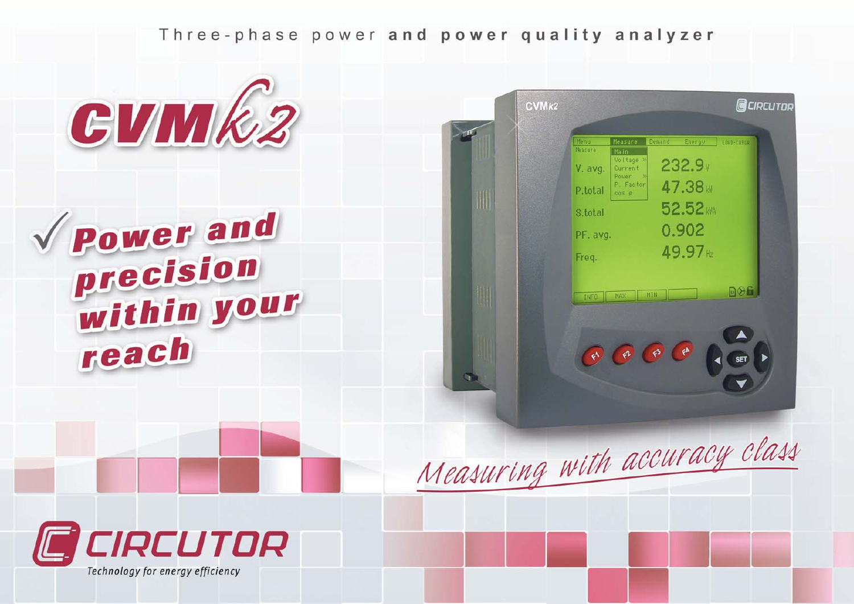Three-phase power and power quality analyzer



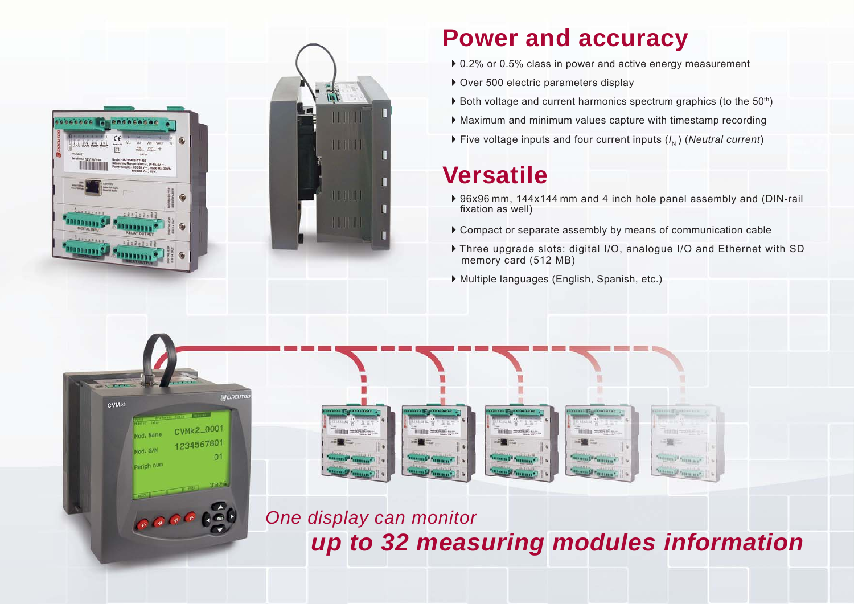

 $CVMk2$ 

tod, Nam

Mod. S/N

Periph num

#### **Power and accuracy**

- ▶ 0.2% or 0.5% class in power and active energy measurement
- $\triangleright$  Over 500 electric parameters display
- $\triangleright$  Both voltage and current harmonics spectrum graphics (to the 50<sup>th</sup>)
- $\blacktriangleright$  Maximum and minimum values capture with timestamp recording
- $\triangleright$  Five voltage inputs and four current inputs (*I<sub>N</sub>*) (*Neutral current*)

#### **Versatile**

- ▶ 96x96 mm, 144x144 mm and 4 inch hole panel assembly and (DIN-rail) fixation as well)
- $\triangleright$  Compact or separate assembly by means of communication cable
- ` Three upgrade slots: digital I/O, analogue I/O and Ethernet with SD memory card (512 MB)
- ` Multiple languages (English, Spanish, etc.)



*One display can monitor up to 32 measuring modules information*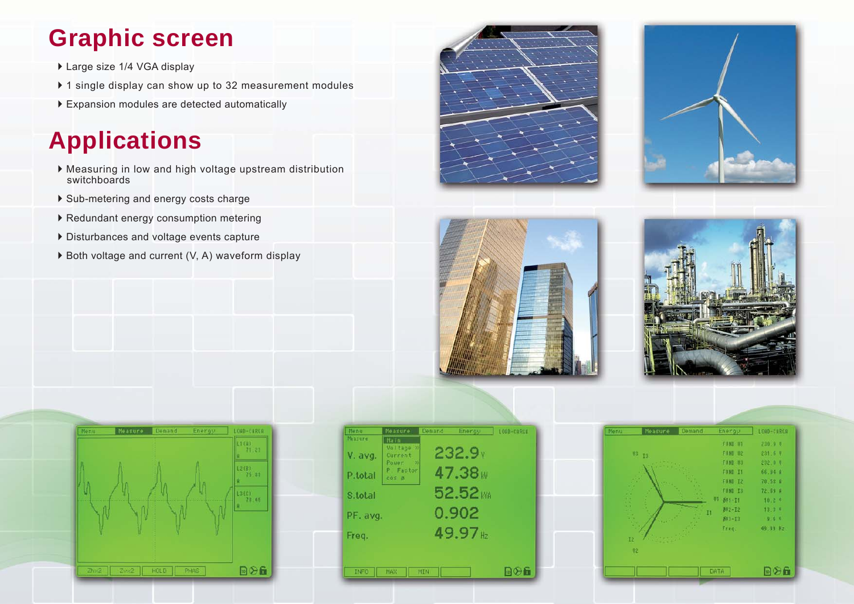#### **Graphic screen**

- ▶ Large size 1/4 VGA display
- $\triangleright$  1 single display can show up to 32 measurement modules
- $\blacktriangleright$  Expansion modules are detected automatically

## **Applications**

- ` Measuring in low and high voltage upstream distribution switchboards
- ` Sub-metering and energy costs charge
- $\triangleright$  Redundant energy consumption metering
- ` Disturbances and voltage events capture
- $\triangleright$  Both voltage and current (V, A) waveform display











| Menu        | Measure                   | Demand | Energy   | LORD-CRRUE |
|-------------|---------------------------|--------|----------|------------|
| Measure     | Main<br>Voltage >>        |        |          |            |
| V. avg.     | Current<br>Pouer:<br>- 22 |        | 232.9v   |            |
| P.total     | P Factor                  |        | 47.38    |            |
|             | cos <sub>0</sub>          |        |          |            |
| S.total     |                           |        | 52.52 MA |            |
| PF. avg.    |                           |        | 0.902    |            |
|             |                           |        | 49.97    |            |
| Freq.       |                           |        |          |            |
|             |                           |        |          |            |
| <b>INFO</b> | MAX                       | MIN    |          | 同分面        |

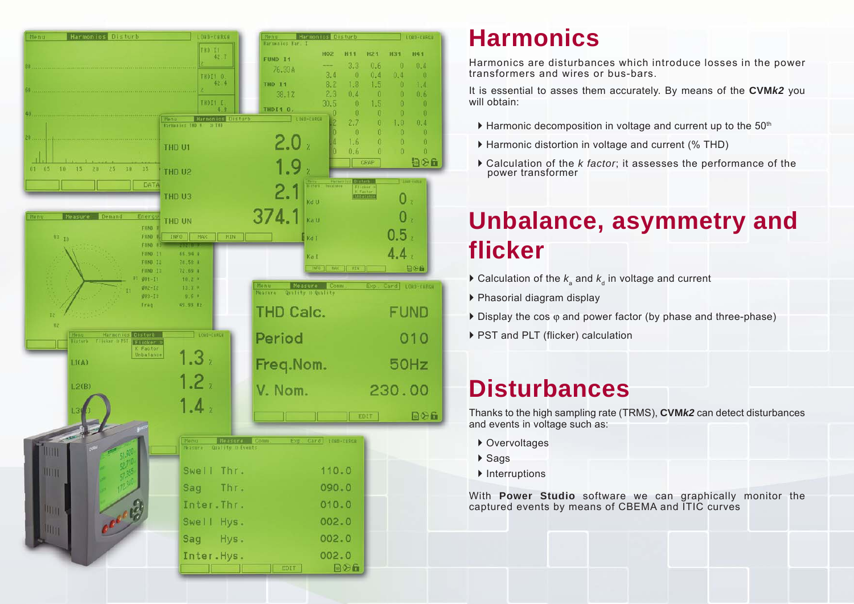

#### **Harmonics**

Harmonics are disturbances which introduce losses in the power transformers and wires or bus-bars.

It is essential to asses them accurately. By means of the **CVM***k2* you will obtain:

- $\blacktriangleright$  Harmonic decomposition in voltage and current up to the 50<sup>th</sup>
- ` Harmonic distortion in voltage and current (% THD)
- ` Calculation of the *k factor*; it assesses the performance of the power transformer

#### **Unbalance, asymmetry and flicker**

- $\blacktriangleright$  Calculation of the  $k_{\scriptscriptstyle \rm a}$  and  $k_{\scriptscriptstyle \rm d}$  in voltage and current
- ▶ Phasorial diagram display
- ` Display the cos ϕ and power factor (by phase and three-phase)
- ▶ PST and PLT (flicker) calculation

#### **Disturbances**

Thanks to the high sampling rate (TRMS), **CVM***k2* can detect disturbances and events in voltage such as:

- ▶ Overvoltages
- ▶ Sags
- $\blacktriangleright$  Interruptions

With **Power Studio** software we can graphically monitor the captured events by means of CBEMA and ITIC curves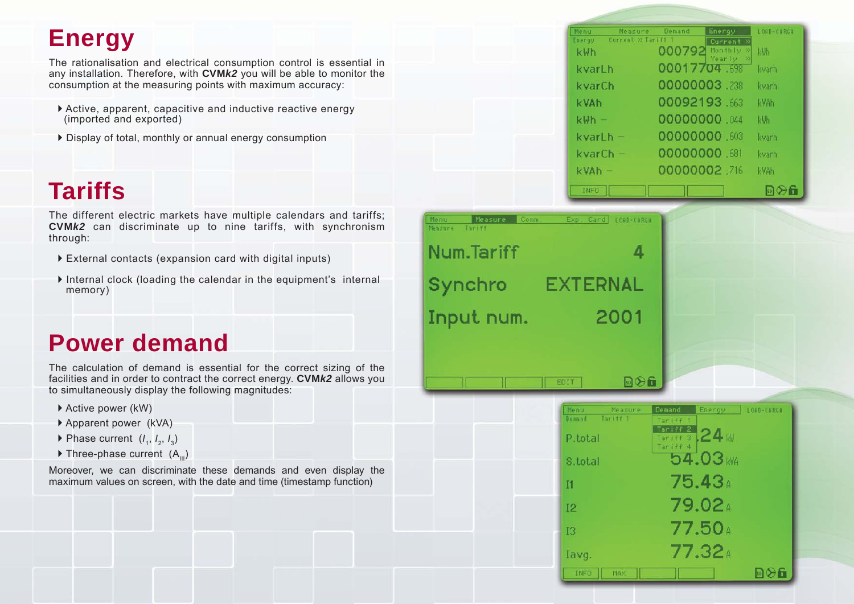#### **Energy**

The rationalisation and electrical consumption control is essential in any installation. Therefore, with **CVM***k2* you will be able to monitor the consumption at the measuring points with maximum accuracy:

- $\blacktriangleright$  Active, apparent, capacitive and inductive reactive energy (imported and exported)
- $\triangleright$  Display of total, monthly or annual energy consumption

#### **Tariffs**

The different electric markets have multiple calendars and tariffs; **CVM***k2* can discriminate up to nine tariffs, with synchronism through:

- $\triangleright$  External contacts (expansion card with digital inputs)
- ` Internal clock (loading the calendar in the equipment's internal memory)

#### **Power demand**

The calculation of demand is essential for the correct sizing of the facilities and in order to contract the correct energy. **CVM***k2* allows you to simultaneously display the following magnitudes:

- ▶ Active power (kW)
- ` Apparent power (kVA)
- $\triangleright$  Phase current  $(I_1, I_2, I_3)$
- $\triangleright$  Three-phase current  $(A_{11})$

Moreover, we can discriminate these demands and even display the maximum values on screen, with the date and time (timestamp function)

| Menu         | Measure            | Demand       | Energy                    | LOAD-CARGA               |
|--------------|--------------------|--------------|---------------------------|--------------------------|
| Energy       | Current » Tariff 1 |              | Current »                 |                          |
| kWh          |                    | 000792       | Monthly >><br>Yearly<br>≫ | 困痛                       |
| kvarLh       |                    | 00017704.698 |                           | kvarh                    |
| kvarCh       |                    | 00000003.238 |                           | kvarh                    |
| kVAh         |                    | 00092193.663 |                           | kVAh                     |
| kWh –        |                    | 00000000.044 |                           | kWh                      |
| kvarl h      |                    | 00000000.603 |                           | kvarh.                   |
| kvarCh       |                    | 00000000     |                           | kvarh                    |
| $kV$ A $h -$ |                    | 00000002.716 |                           | kVAh                     |
| INFO         |                    |              |                           | $\mathbb{E}[\mathbb{R}]$ |

| Measure<br>Comm.<br><b>Nenu</b><br>Tar iff<br><b>Measure</b> | Exp. Card<br>LOAD-CARGA |
|--------------------------------------------------------------|-------------------------|
| Num.Tariff                                                   | 4                       |
| Synchro                                                      | EXTERNAL                |
| Input num.                                                   | 2001                    |
|                                                              |                         |

EDIT

| Menu           | Measure             | Demand   | Energy.                                                                  | LOAD-CARGA        |
|----------------|---------------------|----------|--------------------------------------------------------------------------|-------------------|
| Demand.        | Tariff <sup>1</sup> | Tariff 1 |                                                                          |                   |
| P.total        |                     | Tariff 2 | $\frac{\text{Target} \cdot \text{2}}{\text{Target} \cdot \text{3}}$ 24 W |                   |
|                |                     | Tariff 4 |                                                                          |                   |
| S.total        |                     |          | $54.03$ kya                                                              |                   |
| I <sub>1</sub> |                     |          | 75.43 <sup>a</sup>                                                       |                   |
|                |                     |          |                                                                          |                   |
| 12             |                     |          | 79.02 <sup>a</sup>                                                       |                   |
|                |                     |          |                                                                          |                   |
| ĪЗ             |                     |          | 77.50 a                                                                  |                   |
| Iavg.          |                     |          | 77.32 <sup>a</sup>                                                       |                   |
|                |                     |          |                                                                          |                   |
| <b>INFO</b>    | MAX.                |          |                                                                          | $\ln(2)$ $\Gamma$ |

日分面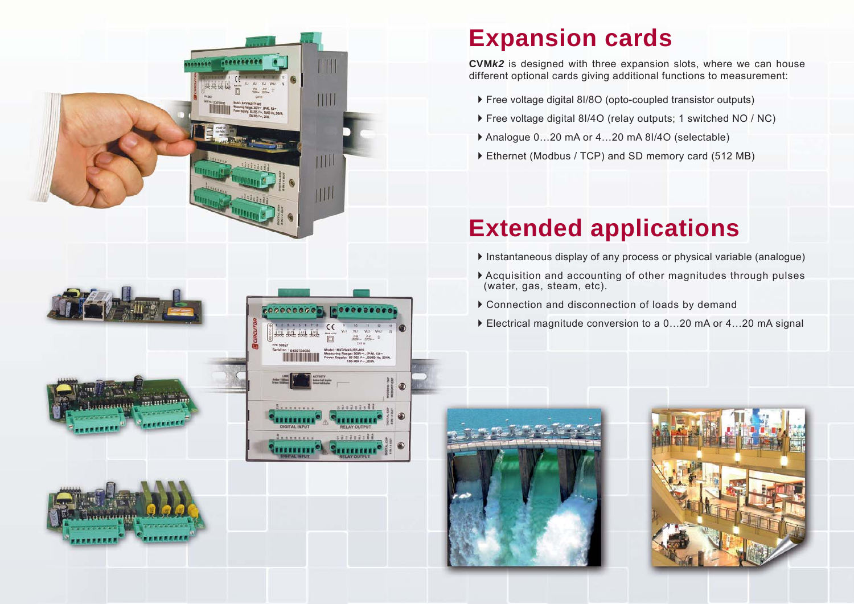# $10000000$ THI  $111$  $III$

coocceone

........

,,,,,,,,

*<u><u><i>Experience</u>*</u></u> **THILITIC**  ¢

. 2020201 .........

*sisisisii* 

........

#### **Expansion cards**

**CVM***k2* is designed with three expansion slots, where we can house different optional cards giving additional functions to measurement:

- ▶ Free voltage digital 8I/8O (opto-coupled transistor outputs)
- ▶ Free voltage digital 8I/4O (relay outputs; 1 switched NO / NC)
- ▶ Analogue 0...20 mA or 4...20 mA 8I/4O (selectable)
- Ethernet (Modbus / TCP) and SD memory card (512 MB)

### **Extended applications**

- ` Instantaneous display of any process or physical variable (analogue)
- ` Acquisition and accounting of other magnitudes through pulses (water, gas, steam, etc).
- $\triangleright$  Connection and disconnection of loads by demand
- ▶ Electrical magnitude conversion to a 0...20 mA or 4...20 mA signal







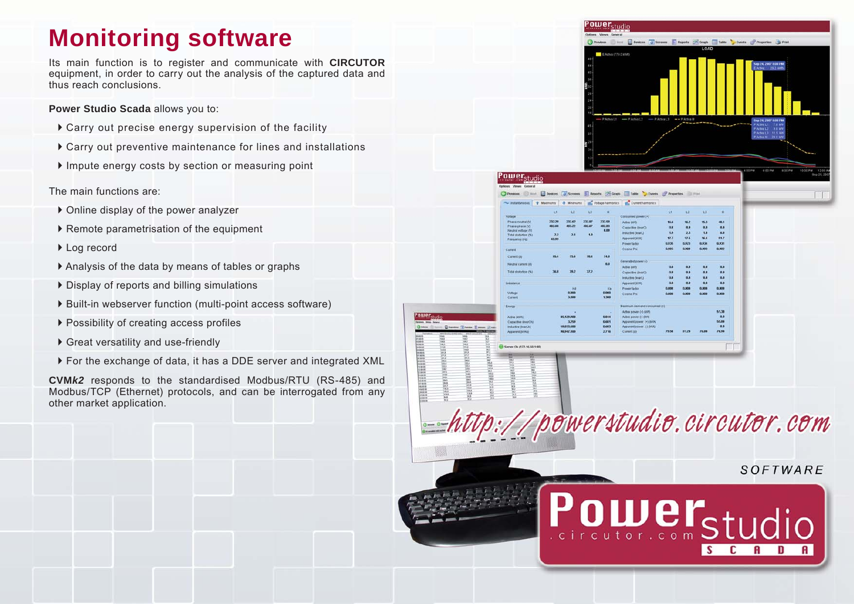#### **Monitoring software**

Its main function is to register and communicate with **CIRCUTOR**  equipment, in order to carry out the analysis of the captured data and thus reach conclusions.

**Power Studio Scada** allows you to:

- $\triangleright$  Carry out precise energy supervision of the facility
- $\triangleright$  Carry out preventive maintenance for lines and installations
- $\blacktriangleright$  Impute energy costs by section or measuring point

The main functions are:

- $\triangleright$  Online display of the power analyzer
- ` Remote parametrisation of the equipment
- ▶ Log record
- ` Analysis of the data by means of tables or graphs
- $\triangleright$  Display of reports and billing simulations
- ▶ Built-in webserver function (multi-point access software)
- $\triangleright$  Possibility of creating access profiles
- ▶ Great versatility and use-friendly
- ` For the exchange of data, it has a DDE server and integrated XML

**CVM***k2* responds to the standardised Modbus/RTU (RS-485) and Modbus/TCP (Ethernet) protocols, and can be interrogated from any other market application.